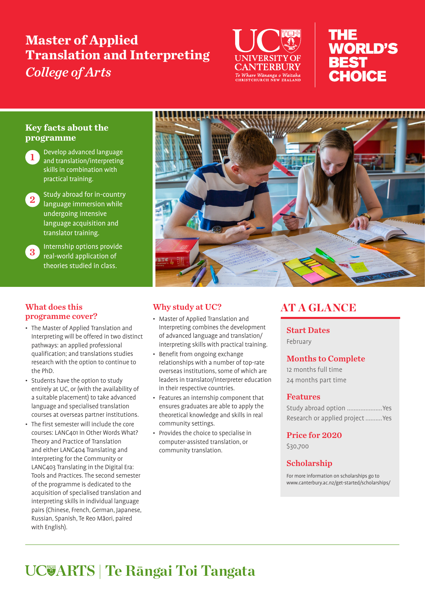# **Master of Applied Translation and Interpreting**  *College of Arts*



# THE **WORLD'S BEST** CHOICE

# **Key facts about the programme**



- Develop advanced language and translation/interpreting skills in combination with practical training.
- 2 Study abroad for in-country language immersion while undergoing intensive language acquisition and translator training.

# 3 Internship options provide real-world application of theories studied in class.

# What does this programme cover?

- The Master of Applied Translation and Interpreting will be offered in two distinct pathways: an applied professional qualification; and translations studies research with the option to continue to the PhD.
- Students have the option to study entirely at UC, or (with the availability of a suitable placement) to take advanced language and specialised translation courses at overseas partner institutions.
- The first semester will include the core courses: LANC401 In Other Words What? Theory and Practice of Translation and either LANC404 Translating and Interpreting for the Community or LANC403 Translating in the Digital Era: Tools and Practices. The second semester of the programme is dedicated to the acquisition of specialised translation and interpreting skills in individual language pairs (Chinese, French, German, Japanese, Russian, Spanish, Te Reo Māori, paired with English).



# Why study at UC?

- Master of Applied Translation and Interpreting combines the development of advanced language and translation/ interpreting skills with practical training.
- Benefit from ongoing exchange relationships with a number of top-rate overseas institutions, some of which are leaders in translator/interpreter education in their respective countries.
- Features an internship component that ensures graduates are able to apply the theoretical knowledge and skills in real community settings.
- Provides the choice to specialise in computer-assisted translation, or community translation.

# AT A GLANCE

Start Dates February

# Months to Complete

12 months full time 24 months part time

# Features

Study abroad option .....................Yes Research or applied project..........Yes

# Price for 2020

\$30,700

# Scholarship

For more information on scholarships go to www.canterbury.ac.nz/get-started/scholarships/

# **ARTS | Te Rāngai Toi Tangata**